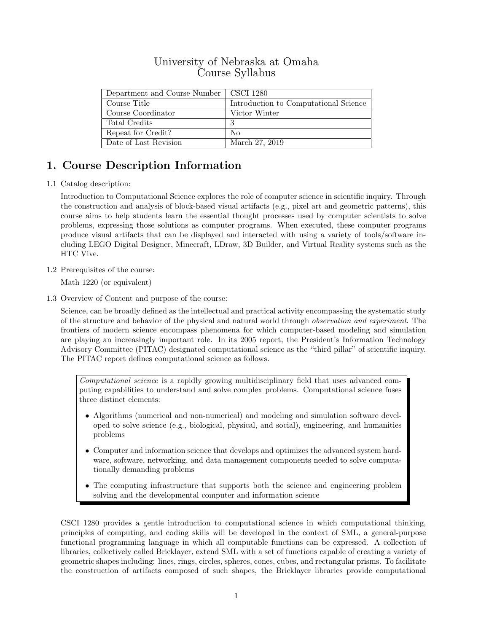## University of Nebraska at Omaha Course Syllabus

| Department and Course Number | CSCI 1280                             |
|------------------------------|---------------------------------------|
| Course Title                 | Introduction to Computational Science |
| Course Coordinator           | Victor Winter                         |
| Total Credits                | 3                                     |
| Repeat for Credit?           | Nο                                    |
| Date of Last Revision        | March 27, 2019                        |

# 1. Course Description Information

1.1 Catalog description:

Introduction to Computational Science explores the role of computer science in scientific inquiry. Through the construction and analysis of block-based visual artifacts (e.g., pixel art and geometric patterns), this course aims to help students learn the essential thought processes used by computer scientists to solve problems, expressing those solutions as computer programs. When executed, these computer programs produce visual artifacts that can be displayed and interacted with using a variety of tools/software including LEGO Digital Designer, Minecraft, LDraw, 3D Builder, and Virtual Reality systems such as the HTC Vive.

1.2 Prerequisites of the course:

Math 1220 (or equivalent)

1.3 Overview of Content and purpose of the course:

Science, can be broadly defined as the intellectual and practical activity encompassing the systematic study of the structure and behavior of the physical and natural world through observation and experiment. The frontiers of modern science encompass phenomena for which computer-based modeling and simulation are playing an increasingly important role. In its 2005 report, the President's Information Technology Advisory Committee (PITAC) designated computational science as the "third pillar" of scientific inquiry. The PITAC report defines computational science as follows.

Computational science is a rapidly growing multidisciplinary field that uses advanced computing capabilities to understand and solve complex problems. Computational science fuses three distinct elements:

- Algorithms (numerical and non-numerical) and modeling and simulation software developed to solve science (e.g., biological, physical, and social), engineering, and humanities problems
- Computer and information science that develops and optimizes the advanced system hardware, software, networking, and data management components needed to solve computationally demanding problems
- The computing infrastructure that supports both the science and engineering problem solving and the developmental computer and information science

CSCI 1280 provides a gentle introduction to computational science in which computational thinking, principles of computing, and coding skills will be developed in the context of SML, a general-purpose functional programming language in which all computable functions can be expressed. A collection of libraries, collectively called Bricklayer, extend SML with a set of functions capable of creating a variety of geometric shapes including: lines, rings, circles, spheres, cones, cubes, and rectangular prisms. To facilitate the construction of artifacts composed of such shapes, the Bricklayer libraries provide computational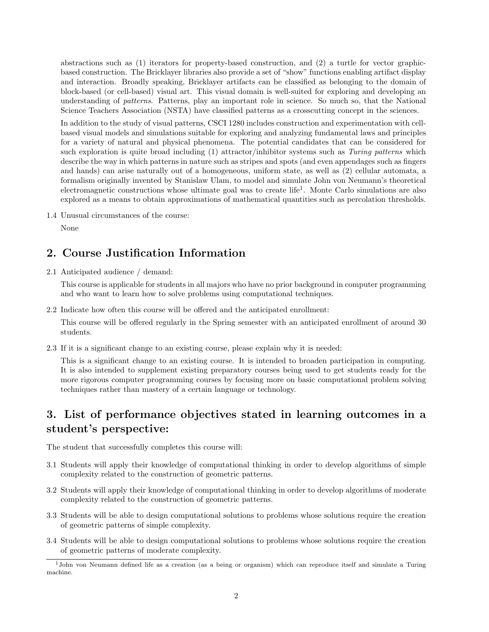abstractions such as (1) iterators for property-based construction, and (2) a turtle for vector graphicbased construction. The Bricklayer libraries also provide a set of "show" functions enabling artifact display and interaction. Broadly speaking, Bricklayer artifacts can be classified as belonging to the domain of block-based (or cell-based) visual art. This visual domain is well-suited for exploring and developing an understanding of patterns. Patterns, play an important role in science. So much so, that the National Science Teachers Association (NSTA) have classified patterns as a crosscutting concept in the sciences.

In addition to the study of visual patterns, CSCI 1280 includes construction and experimentation with cellbased visual models and simulations suitable for exploring and analyzing fundamental laws and principles for a variety of natural and physical phenomena. The potential candidates that can be considered for such exploration is quite broad including (1) attractor/inhibitor systems such as Turing patterns which describe the way in which patterns in nature such as stripes and spots (and even appendages such as fingers and hands) can arise naturally out of a homogeneous, uniform state, as well as (2) cellular automata, a formalism originally invented by Stanislaw Ulam, to model and simulate John von Neumann's theoretical electromagnetic constructions whose ultimate goal was to create life<sup>1</sup>. Monte Carlo simulations are also explored as a means to obtain approximations of mathematical quantities such as percolation thresholds.

1.4 Unusual circumstances of the course:

None

#### 2. Course Justification Information

2.1 Anticipated audience / demand:

This course is applicable for students in all majors who have no prior background in computer programming and who want to learn how to solve problems using computational techniques.

2.2 Indicate how often this course will be offered and the anticipated enrollment:

This course will be offered regularly in the Spring semester with an anticipated enrollment of around 30 students.

2.3 If it is a significant change to an existing course, please explain why it is needed:

This is a significant change to an existing course. It is intended to broaden participation in computing. It is also intended to supplement existing preparatory courses being used to get students ready for the more rigorous computer programming courses by focusing more on basic computational problem solving techniques rather than mastery of a certain language or technology.

# 3. List of performance objectives stated in learning outcomes in a student's perspective:

The student that successfully completes this course will:

- 3.1 Students will apply their knowledge of computational thinking in order to develop algorithms of simple complexity related to the construction of geometric patterns.
- 3.2 Students will apply their knowledge of computational thinking in order to develop algorithms of moderate complexity related to the construction of geometric patterns.
- 3.3 Students will be able to design computational solutions to problems whose solutions require the creation of geometric patterns of simple complexity.
- 3.4 Students will be able to design computational solutions to problems whose solutions require the creation of geometric patterns of moderate complexity.

<sup>1</sup>John von Neumann defined life as a creation (as a being or organism) which can reproduce itself and simulate a Turing machine.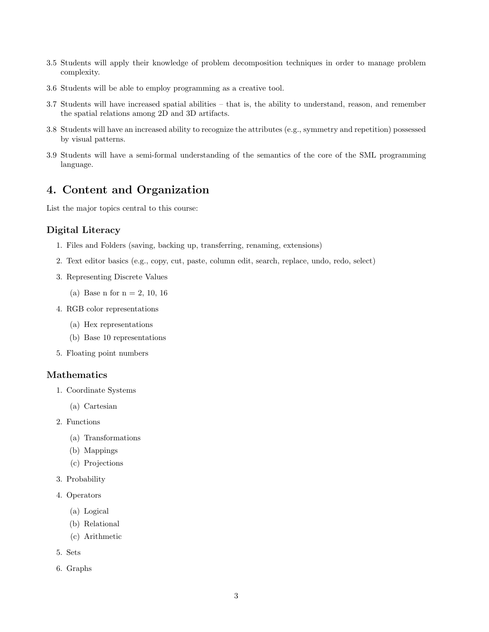- 3.5 Students will apply their knowledge of problem decomposition techniques in order to manage problem complexity.
- 3.6 Students will be able to employ programming as a creative tool.
- 3.7 Students will have increased spatial abilities that is, the ability to understand, reason, and remember the spatial relations among 2D and 3D artifacts.
- 3.8 Students will have an increased ability to recognize the attributes (e.g., symmetry and repetition) possessed by visual patterns.
- 3.9 Students will have a semi-formal understanding of the semantics of the core of the SML programming language.

#### 4. Content and Organization

List the major topics central to this course:

#### Digital Literacy

- 1. Files and Folders (saving, backing up, transferring, renaming, extensions)
- 2. Text editor basics (e.g., copy, cut, paste, column edit, search, replace, undo, redo, select)
- 3. Representing Discrete Values
	- (a) Base n for  $n = 2, 10, 16$
- 4. RGB color representations
	- (a) Hex representations
	- (b) Base 10 representations
- 5. Floating point numbers

#### Mathematics

- 1. Coordinate Systems
	- (a) Cartesian
- 2. Functions
	- (a) Transformations
	- (b) Mappings
	- (c) Projections
- 3. Probability
- 4. Operators
	- (a) Logical
	- (b) Relational
	- (c) Arithmetic
- 5. Sets
- 6. Graphs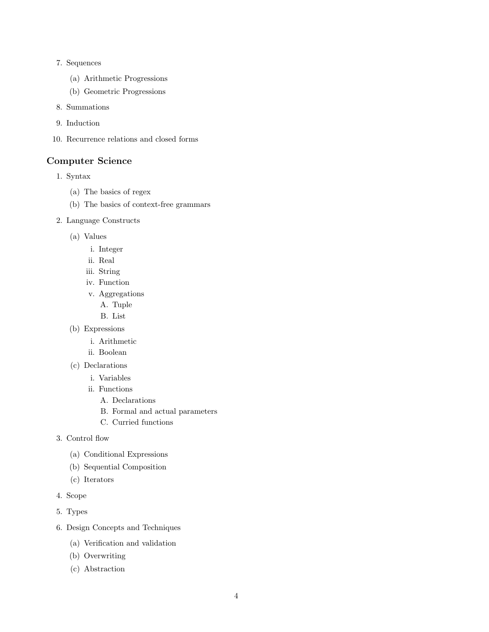- 7. Sequences
	- (a) Arithmetic Progressions
	- (b) Geometric Progressions
- 8. Summations
- 9. Induction
- 10. Recurrence relations and closed forms

#### Computer Science

- 1. Syntax
	- (a) The basics of regex
	- (b) The basics of context-free grammars
- 2. Language Constructs
	- (a) Values
		- i. Integer
		- ii. Real
		- iii. String
		- iv. Function
		- v. Aggregations
			- A. Tuple
			- B. List
	- (b) Expressions
		- i. Arithmetic
		- ii. Boolean
	- (c) Declarations
		- i. Variables
		- ii. Functions
			- A. Declarations
			- B. Formal and actual parameters
			- C. Curried functions
- 3. Control flow
	- (a) Conditional Expressions
	- (b) Sequential Composition
	- (c) Iterators
- 4. Scope
- 5. Types
- 6. Design Concepts and Techniques
	- (a) Verification and validation
	- (b) Overwriting
	- (c) Abstraction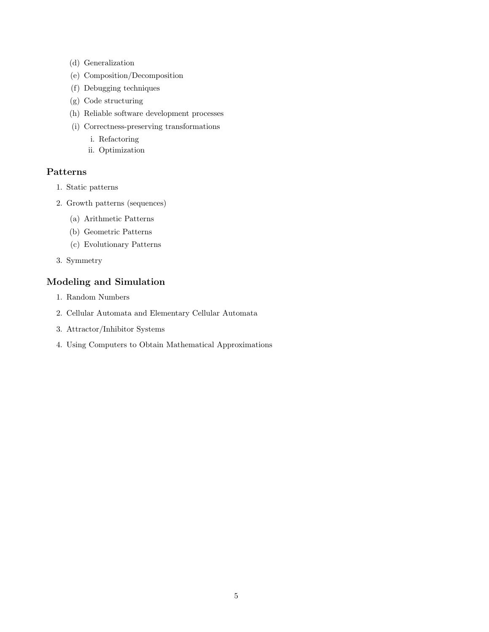- (d) Generalization
- (e) Composition/Decomposition
- (f) Debugging techniques
- (g) Code structuring
- (h) Reliable software development processes
- (i) Correctness-preserving transformations
	- i. Refactoring
	- ii. Optimization

#### Patterns

- 1. Static patterns
- 2. Growth patterns (sequences)
	- (a) Arithmetic Patterns
	- (b) Geometric Patterns
	- (c) Evolutionary Patterns
- 3. Symmetry

## Modeling and Simulation

- 1. Random Numbers
- 2. Cellular Automata and Elementary Cellular Automata
- 3. Attractor/Inhibitor Systems
- 4. Using Computers to Obtain Mathematical Approximations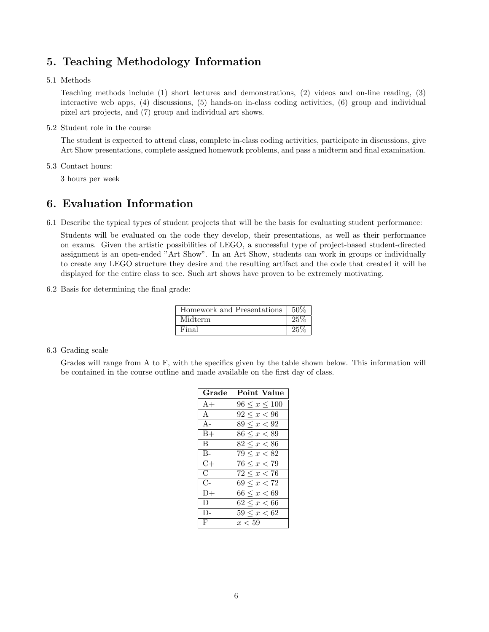# 5. Teaching Methodology Information

5.1 Methods

Teaching methods include (1) short lectures and demonstrations, (2) videos and on-line reading, (3) interactive web apps, (4) discussions, (5) hands-on in-class coding activities, (6) group and individual pixel art projects, and (7) group and individual art shows.

5.2 Student role in the course

The student is expected to attend class, complete in-class coding activities, participate in discussions, give Art Show presentations, complete assigned homework problems, and pass a midterm and final examination.

5.3 Contact hours:

3 hours per week

## 6. Evaluation Information

6.1 Describe the typical types of student projects that will be the basis for evaluating student performance:

Students will be evaluated on the code they develop, their presentations, as well as their performance on exams. Given the artistic possibilities of LEGO, a successful type of project-based student-directed assignment is an open-ended "Art Show". In an Art Show, students can work in groups or individually to create any LEGO structure they desire and the resulting artifact and the code that created it will be displayed for the entire class to see. Such art shows have proven to be extremely motivating.

6.2 Basis for determining the final grade:

| Homework and Presentations | 50%    |
|----------------------------|--------|
| Midterm                    | 25%    |
| Final                      | $25\%$ |

#### 6.3 Grading scale

Grades will range from A to F, with the specifics given by the table shown below. This information will be contained in the course outline and made available on the first day of class.

| Grade   | <b>Point Value</b>   |
|---------|----------------------|
| $A+$    | $96 \leq x \leq 100$ |
| A       | $92 \leq x < 96$     |
| $A -$   | $89 \leq x < 92$     |
| $B+$    | $86 \leq x < 89$     |
| B.      | $82 \leq x < 86$     |
| $B-$    | $79 \leq x < 82$     |
| $C+$    | $76 \leq x < 79$     |
| $\rm C$ | $72 \leq x < 76$     |
| $C-$    | $69 \leq x < 72$     |
| $D+$    | $66 \leq x < 69$     |
| D       | $62 \leq x < 66$     |
| D-      | $59 \leq x < 62$     |
| F       | x < 59               |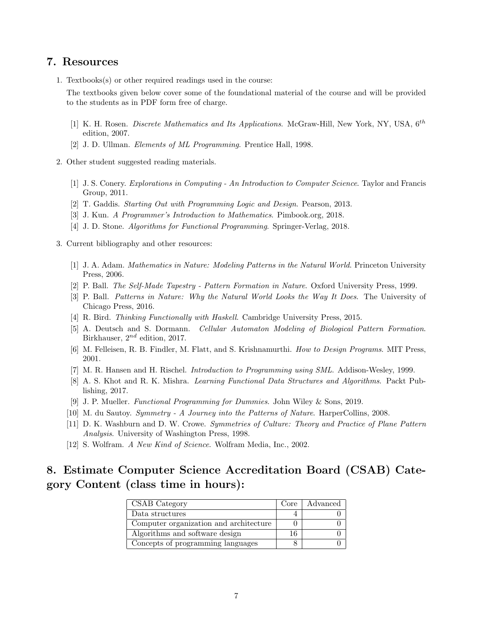#### 7. Resources

1. Textbooks(s) or other required readings used in the course:

The textbooks given below cover some of the foundational material of the course and will be provided to the students as in PDF form free of charge.

- [1] K. H. Rosen. Discrete Mathematics and Its Applications. McGraw-Hill, New York, NY, USA, 6<sup>th</sup> edition, 2007.
- [2] J. D. Ullman. Elements of ML Programming. Prentice Hall, 1998.
- 2. Other student suggested reading materials.
	- [1] J. S. Conery. Explorations in Computing An Introduction to Computer Science. Taylor and Francis Group, 2011.
	- [2] T. Gaddis. Starting Out with Programming Logic and Design. Pearson, 2013.
	- [3] J. Kun. A Programmer's Introduction to Mathematics. Pimbook.org, 2018.
	- [4] J. D. Stone. Algorithms for Functional Programming. Springer-Verlag, 2018.
- 3. Current bibliography and other resources:
	- [1] J. A. Adam. Mathematics in Nature: Modeling Patterns in the Natural World. Princeton University Press, 2006.
	- [2] P. Ball. The Self-Made Tapestry Pattern Formation in Nature. Oxford University Press, 1999.
	- [3] P. Ball. Patterns in Nature: Why the Natural World Looks the Way It Does. The University of Chicago Press, 2016.
	- [4] R. Bird. Thinking Functionally with Haskell. Cambridge University Press, 2015.
	- [5] A. Deutsch and S. Dormann. Cellular Automaton Modeling of Biological Pattern Formation. Birkhauser,  $2^{nd}$  edition, 2017.
	- [6] M. Felleisen, R. B. Findler, M. Flatt, and S. Krishnamurthi. How to Design Programs. MIT Press, 2001.
	- [7] M. R. Hansen and H. Rischel. Introduction to Programming using SML. Addison-Wesley, 1999.
	- [8] A. S. Khot and R. K. Mishra. Learning Functional Data Structures and Algorithms. Packt Publishing, 2017.
	- [9] J. P. Mueller. Functional Programming for Dummies. John Wiley & Sons, 2019.
	- [10] M. du Sautoy. Symmetry A Journey into the Patterns of Nature. HarperCollins, 2008.
	- [11] D. K. Washburn and D. W. Crowe. Symmetries of Culture: Theory and Practice of Plane Pattern Analysis. University of Washington Press, 1998.
	- [12] S. Wolfram. A New Kind of Science. Wolfram Media, Inc., 2002.

# 8. Estimate Computer Science Accreditation Board (CSAB) Category Content (class time in hours):

| CSAB Category                          | Core | Advanced |
|----------------------------------------|------|----------|
| Data structures                        |      |          |
| Computer organization and architecture |      |          |
| Algorithms and software design         | 16   |          |
| Concepts of programming languages      |      |          |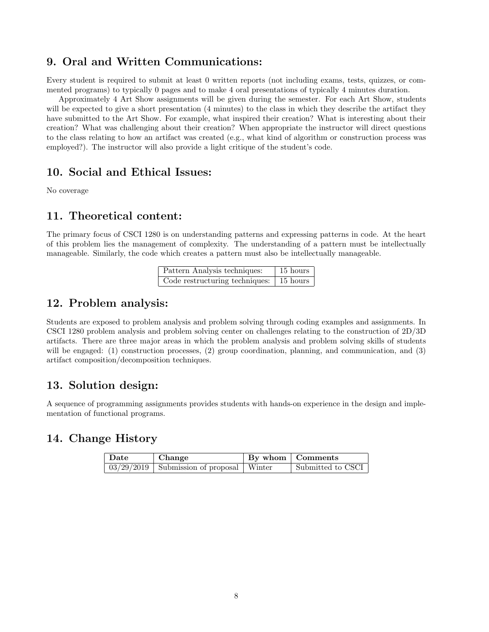## 9. Oral and Written Communications:

Every student is required to submit at least 0 written reports (not including exams, tests, quizzes, or commented programs) to typically 0 pages and to make 4 oral presentations of typically 4 minutes duration.

Approximately 4 Art Show assignments will be given during the semester. For each Art Show, students will be expected to give a short presentation (4 minutes) to the class in which they describe the artifact they have submitted to the Art Show. For example, what inspired their creation? What is interesting about their creation? What was challenging about their creation? When appropriate the instructor will direct questions to the class relating to how an artifact was created (e.g., what kind of algorithm or construction process was employed?). The instructor will also provide a light critique of the student's code.

#### 10. Social and Ethical Issues:

No coverage

## 11. Theoretical content:

The primary focus of CSCI 1280 is on understanding patterns and expressing patterns in code. At the heart of this problem lies the management of complexity. The understanding of a pattern must be intellectually manageable. Similarly, the code which creates a pattern must also be intellectually manageable.

| Pattern Analysis techniques:                    | 15 hours |
|-------------------------------------------------|----------|
| Code restructuring techniques: $\vert$ 15 hours |          |

#### 12. Problem analysis:

Students are exposed to problem analysis and problem solving through coding examples and assignments. In CSCI 1280 problem analysis and problem solving center on challenges relating to the construction of 2D/3D artifacts. There are three major areas in which the problem analysis and problem solving skills of students will be engaged: (1) construction processes, (2) group coordination, planning, and communication, and (3) artifact composition/decomposition techniques.

# 13. Solution design:

A sequence of programming assignments provides students with hands-on experience in the design and implementation of functional programs.

## 14. Change History

| Date | Change                                             | By whom   Comments |
|------|----------------------------------------------------|--------------------|
|      | $\sqrt{0.3/29/2019}$ Submission of proposal Winter | Submitted to CSCI  |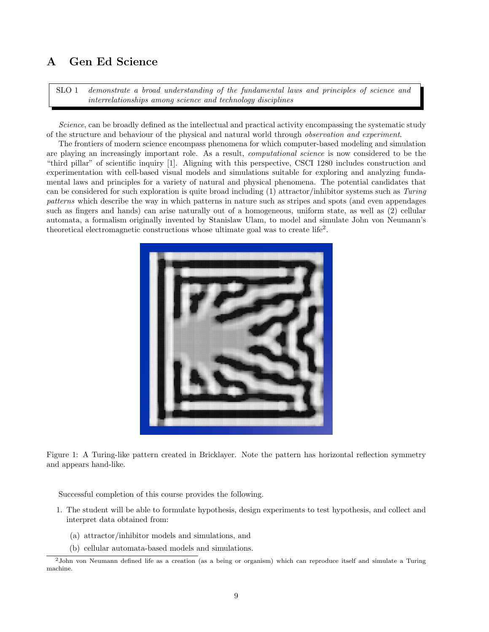## A Gen Ed Science

SLO 1 demonstrate a broad understanding of the fundamental laws and principles of science and interrelationships among science and technology disciplines

Science, can be broadly defined as the intellectual and practical activity encompassing the systematic study of the structure and behaviour of the physical and natural world through observation and experiment.

The frontiers of modern science encompass phenomena for which computer-based modeling and simulation are playing an increasingly important role. As a result, computational science is now considered to be the "third pillar" of scientific inquiry [1]. Aligning with this perspective, CSCI 1280 includes construction and experimentation with cell-based visual models and simulations suitable for exploring and analyzing fundamental laws and principles for a variety of natural and physical phenomena. The potential candidates that can be considered for such exploration is quite broad including (1) attractor/inhibitor systems such as Turing patterns which describe the way in which patterns in nature such as stripes and spots (and even appendages such as fingers and hands) can arise naturally out of a homogeneous, uniform state, as well as (2) cellular automata, a formalism originally invented by Stanislaw Ulam, to model and simulate John von Neumann's theoretical electromagnetic constructions whose ultimate goal was to create life<sup>2</sup>.



Figure 1: A Turing-like pattern created in Bricklayer. Note the pattern has horizontal reflection symmetry and appears hand-like.

Successful completion of this course provides the following.

- 1. The student will be able to formulate hypothesis, design experiments to test hypothesis, and collect and interpret data obtained from:
	- (a) attractor/inhibitor models and simulations, and
	- (b) cellular automata-based models and simulations.

<sup>2</sup>John von Neumann defined life as a creation (as a being or organism) which can reproduce itself and simulate a Turing machine.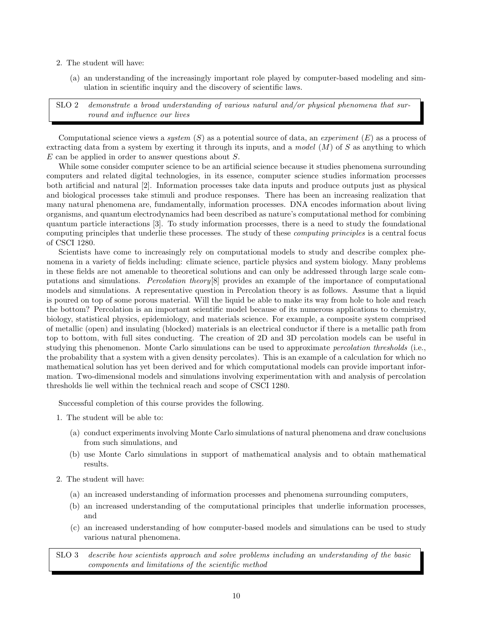- 2. The student will have:
	- (a) an understanding of the increasingly important role played by computer-based modeling and simulation in scientific inquiry and the discovery of scientific laws.

SLO 2 demonstrate a broad understanding of various natural and/or physical phenomena that surround and influence our lives

Computational science views a system  $(S)$  as a potential source of data, an *experiment*  $(E)$  as a process of extracting data from a system by exerting it through its inputs, and a model  $(M)$  of S as anything to which E can be applied in order to answer questions about S.

While some consider computer science to be an artificial science because it studies phenomena surrounding computers and related digital technologies, in its essence, computer science studies information processes both artificial and natural [2]. Information processes take data inputs and produce outputs just as physical and biological processes take stimuli and produce responses. There has been an increasing realization that many natural phenomena are, fundamentally, information processes. DNA encodes information about living organisms, and quantum electrodynamics had been described as nature's computational method for combining quantum particle interactions [3]. To study information processes, there is a need to study the foundational computing principles that underlie these processes. The study of these computing principles is a central focus of CSCI 1280.

Scientists have come to increasingly rely on computational models to study and describe complex phenomena in a variety of fields including: climate science, particle physics and system biology. Many problems in these fields are not amenable to theoretical solutions and can only be addressed through large scale computations and simulations. Percolation theory[8] provides an example of the importance of computational models and simulations. A representative question in Percolation theory is as follows. Assume that a liquid is poured on top of some porous material. Will the liquid be able to make its way from hole to hole and reach the bottom? Percolation is an important scientific model because of its numerous applications to chemistry, biology, statistical physics, epidemiology, and materials science. For example, a composite system comprised of metallic (open) and insulating (blocked) materials is an electrical conductor if there is a metallic path from top to bottom, with full sites conducting. The creation of 2D and 3D percolation models can be useful in studying this phenomenon. Monte Carlo simulations can be used to approximate percolation thresholds (i.e., the probability that a system with a given density percolates). This is an example of a calculation for which no mathematical solution has yet been derived and for which computational models can provide important information. Two-dimensional models and simulations involving experimentation with and analysis of percolation thresholds lie well within the technical reach and scope of CSCI 1280.

Successful completion of this course provides the following.

- 1. The student will be able to:
	- (a) conduct experiments involving Monte Carlo simulations of natural phenomena and draw conclusions from such simulations, and
	- (b) use Monte Carlo simulations in support of mathematical analysis and to obtain mathematical results.
- 2. The student will have:
	- (a) an increased understanding of information processes and phenomena surrounding computers,
	- (b) an increased understanding of the computational principles that underlie information processes, and
	- (c) an increased understanding of how computer-based models and simulations can be used to study various natural phenomena.

SLO 3 describe how scientists approach and solve problems including an understanding of the basic components and limitations of the scientific method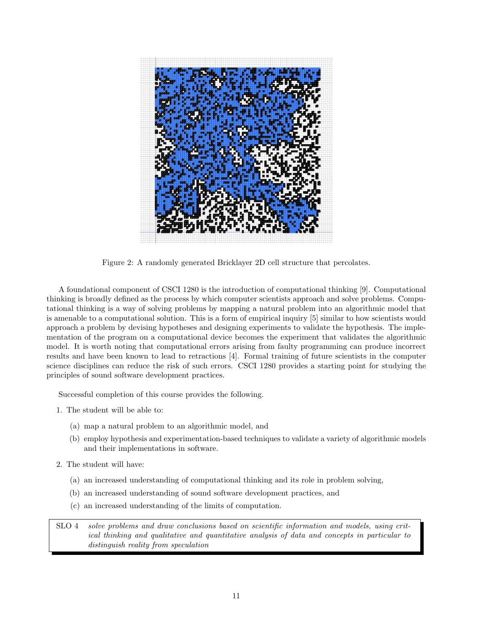

Figure 2: A randomly generated Bricklayer 2D cell structure that percolates.

A foundational component of CSCI 1280 is the introduction of computational thinking [9]. Computational thinking is broadly defined as the process by which computer scientists approach and solve problems. Computational thinking is a way of solving problems by mapping a natural problem into an algorithmic model that is amenable to a computational solution. This is a form of empirical inquiry [5] similar to how scientists would approach a problem by devising hypotheses and designing experiments to validate the hypothesis. The implementation of the program on a computational device becomes the experiment that validates the algorithmic model. It is worth noting that computational errors arising from faulty programming can produce incorrect results and have been known to lead to retractions [4]. Formal training of future scientists in the computer science disciplines can reduce the risk of such errors. CSCI 1280 provides a starting point for studying the principles of sound software development practices.

Successful completion of this course provides the following.

- 1. The student will be able to:
	- (a) map a natural problem to an algorithmic model, and
	- (b) employ hypothesis and experimentation-based techniques to validate a variety of algorithmic models and their implementations in software.
- 2. The student will have:
	- (a) an increased understanding of computational thinking and its role in problem solving,
	- (b) an increased understanding of sound software development practices, and
	- (c) an increased understanding of the limits of computation.

SLO 4 solve problems and draw conclusions based on scientific information and models, using critical thinking and qualitative and quantitative analysis of data and concepts in particular to distinguish reality from speculation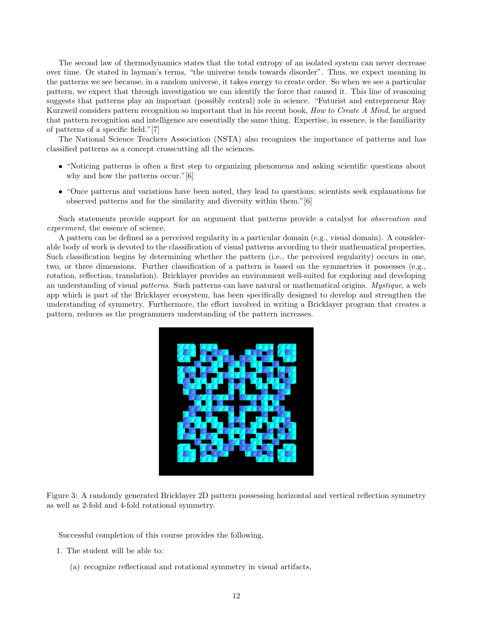The second law of thermodynamics states that the total entropy of an isolated system can never decrease over time. Or stated in layman's terms, "the universe tends towards disorder". Thus, we expect meaning in the patterns we see because, in a random universe, it takes energy to create order. So when we see a particular pattern, we expect that through investigation we can identify the force that caused it. This line of reasoning suggests that patterns play an important (possibly central) role in science. "Futurist and entrepreneur Ray Kurzweil considers pattern recognition so important that in his recent book, How to Create A Mind, he argued that pattern recognition and intelligence are essentially the same thing. Expertise, in essence, is the familiarity of patterns of a specific field."[7]

The National Science Teachers Association (NSTA) also recognizes the importance of patterns and has classified patterns as a concept crosscutting all the sciences.

- "Noticing patterns is often a first step to organizing phenomena and asking scientific questions about why and how the patterns occur." [6]
- "Once patterns and variations have been noted, they lead to questions; scientists seek explanations for observed patterns and for the similarity and diversity within them."[6]

Such statements provide support for an argument that patterns provide a catalyst for *observation and* experiment, the essence of science.

A pattern can be defined as a perceived regularity in a particular domain (e.g., visual domain). A considerable body of work is devoted to the classification of visual patterns according to their mathematical properties. Such classification begins by determining whether the pattern (i.e., the perceived regularity) occurs in one, two, or three dimensions. Further classification of a pattern is based on the symmetries it possesses (e.g., rotation, reflection, translation). Bricklayer provides an environment well-suited for exploring and developing an understanding of visual patterns. Such patterns can have natural or mathematical origins. Mystique, a web app which is part of the Bricklayer ecosystem, has been specifically designed to develop and strengthen the understanding of symmetry. Furthermore, the effort involved in writing a Bricklayer program that creates a pattern, reduces as the programmers understanding of the pattern increases.



Figure 3: A randomly generated Bricklayer 2D pattern possessing horizontal and vertical reflection symmetry as well as 2-fold and 4-fold rotational symmetry.

Successful completion of this course provides the following.

- 1. The student will be able to:
	- (a) recognize reflectional and rotational symmetry in visual artifacts,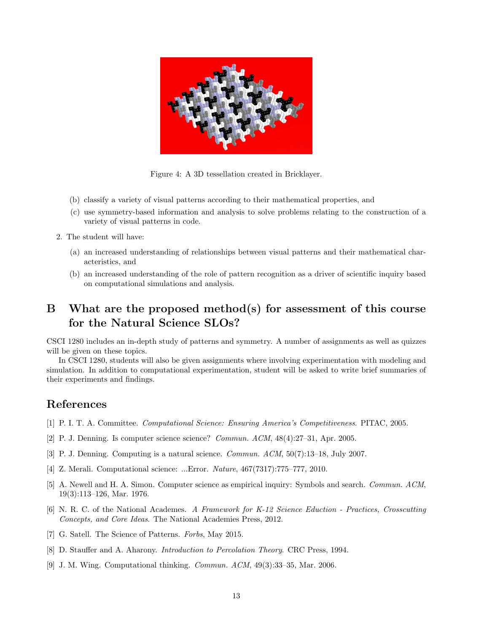

Figure 4: A 3D tessellation created in Bricklayer.

- (b) classify a variety of visual patterns according to their mathematical properties, and
- (c) use symmetry-based information and analysis to solve problems relating to the construction of a variety of visual patterns in code.
- 2. The student will have:
	- (a) an increased understanding of relationships between visual patterns and their mathematical characteristics, and
	- (b) an increased understanding of the role of pattern recognition as a driver of scientific inquiry based on computational simulations and analysis.

# B What are the proposed method(s) for assessment of this course for the Natural Science SLOs?

CSCI 1280 includes an in-depth study of patterns and symmetry. A number of assignments as well as quizzes will be given on these topics.

In CSCI 1280, students will also be given assignments where involving experimentation with modeling and simulation. In addition to computational experimentation, student will be asked to write brief summaries of their experiments and findings.

## References

- [1] P. I. T. A. Committee. Computational Science: Ensuring America's Competitiveness. PITAC, 2005.
- [2] P. J. Denning. Is computer science science? Commun. ACM, 48(4):27–31, Apr. 2005.
- [3] P. J. Denning. Computing is a natural science. Commun. ACM, 50(7):13–18, July 2007.
- [4] Z. Merali. Computational science: ...Error. Nature, 467(7317):775–777, 2010.
- [5] A. Newell and H. A. Simon. Computer science as empirical inquiry: Symbols and search. Commun. ACM, 19(3):113–126, Mar. 1976.
- [6] N. R. C. of the National Academes. A Framework for K-12 Science Eduction Practices, Crosscutting Concepts, and Core Ideas. The National Academies Press, 2012.
- [7] G. Satell. The Science of Patterns. Forbs, May 2015.
- [8] D. Stauffer and A. Aharony. Introduction to Percolation Theory. CRC Press, 1994.
- [9] J. M. Wing. Computational thinking. Commun. ACM, 49(3):33–35, Mar. 2006.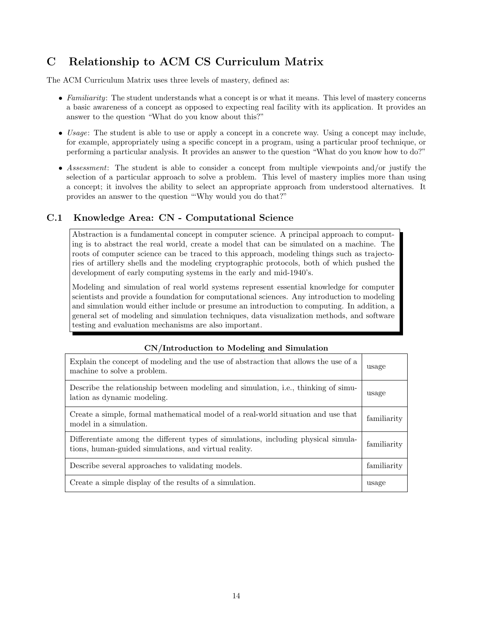# C Relationship to ACM CS Curriculum Matrix

The ACM Curriculum Matrix uses three levels of mastery, defined as:

- Familiarity: The student understands what a concept is or what it means. This level of mastery concerns a basic awareness of a concept as opposed to expecting real facility with its application. It provides an answer to the question "What do you know about this?"
- Usage: The student is able to use or apply a concept in a concrete way. Using a concept may include, for example, appropriately using a specific concept in a program, using a particular proof technique, or performing a particular analysis. It provides an answer to the question "What do you know how to do?"
- Assessment: The student is able to consider a concept from multiple viewpoints and/or justify the selection of a particular approach to solve a problem. This level of mastery implies more than using a concept; it involves the ability to select an appropriate approach from understood alternatives. It provides an answer to the question "'Why would you do that?"

#### C.1 Knowledge Area: CN - Computational Science

Abstraction is a fundamental concept in computer science. A principal approach to computing is to abstract the real world, create a model that can be simulated on a machine. The roots of computer science can be traced to this approach, modeling things such as trajectories of artillery shells and the modeling cryptographic protocols, both of which pushed the development of early computing systems in the early and mid-1940's.

Modeling and simulation of real world systems represent essential knowledge for computer scientists and provide a foundation for computational sciences. Any introduction to modeling and simulation would either include or presume an introduction to computing. In addition, a general set of modeling and simulation techniques, data visualization methods, and software testing and evaluation mechanisms are also important.

| Explain the concept of modeling and the use of abstraction that allows the use of a<br>machine to solve a problem.                          | usage       |
|---------------------------------------------------------------------------------------------------------------------------------------------|-------------|
| Describe the relationship between modeling and simulation, i.e., thinking of simu-<br>lation as dynamic modeling.                           | usage       |
| Create a simple, formal mathematical model of a real-world situation and use that<br>model in a simulation.                                 | familiarity |
| Differentiate among the different types of simulations, including physical simula-<br>tions, human-guided simulations, and virtual reality. | familiarity |
| Describe several approaches to validating models.                                                                                           | familiarity |
| Create a simple display of the results of a simulation.                                                                                     | usage       |

#### CN/Introduction to Modeling and Simulation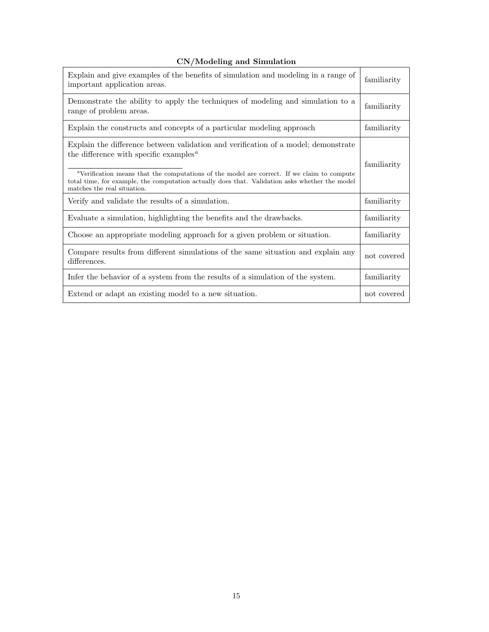| CN/Modeling and Simulation |  |  |
|----------------------------|--|--|
|----------------------------|--|--|

| Explain and give examples of the benefits of simulation and modeling in a range of<br>important application areas.                                                                                                                                                                                                                                                                               | familiarity |
|--------------------------------------------------------------------------------------------------------------------------------------------------------------------------------------------------------------------------------------------------------------------------------------------------------------------------------------------------------------------------------------------------|-------------|
| Demonstrate the ability to apply the techniques of modeling and simulation to a<br>range of problem areas.                                                                                                                                                                                                                                                                                       | familiarity |
| Explain the constructs and concepts of a particular modeling approach                                                                                                                                                                                                                                                                                                                            | familiarity |
| Explain the difference between validation and verification of a model; demonstrate<br>the difference with specific examples <sup><math>a</math></sup><br><sup>a</sup> Verification means that the computations of the model are correct. If we claim to compute<br>total time, for example, the computation actually does that. Validation asks whether the model<br>matches the real situation. | familiarity |
| Verify and validate the results of a simulation.                                                                                                                                                                                                                                                                                                                                                 | familiarity |
| Evaluate a simulation, highlighting the benefits and the drawbacks.                                                                                                                                                                                                                                                                                                                              | familiarity |
| Choose an appropriate modeling approach for a given problem or situation.                                                                                                                                                                                                                                                                                                                        | familiarity |
| Compare results from different simulations of the same situation and explain any<br>differences.                                                                                                                                                                                                                                                                                                 | not covered |
| Infer the behavior of a system from the results of a simulation of the system.                                                                                                                                                                                                                                                                                                                   | familiarity |
| Extend or adapt an existing model to a new situation.                                                                                                                                                                                                                                                                                                                                            | not covered |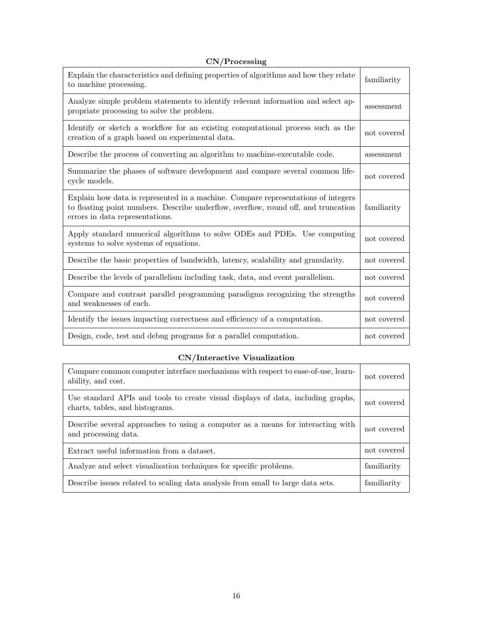|  | CN/Processing |  |
|--|---------------|--|
|--|---------------|--|

| Explain the characteristics and defining properties of algorithms and how they relate<br>to machine processing.                                                                                            | familiarity |
|------------------------------------------------------------------------------------------------------------------------------------------------------------------------------------------------------------|-------------|
| Analyze simple problem statements to identify relevant information and select ap-<br>propriate processing to solve the problem.                                                                            | assessment  |
| Identify or sketch a workflow for an existing computational process such as the<br>creation of a graph based on experimental data.                                                                         | not covered |
| Describe the process of converting an algorithm to machine-executable code.                                                                                                                                | assessment  |
| Summarize the phases of software development and compare several common life-<br>cycle models.                                                                                                             | not covered |
| Explain how data is represented in a machine. Compare representations of integers<br>to floating point numbers. Describe underflow, overflow, round off, and truncation<br>errors in data representations. | familiarity |
| Apply standard numerical algorithms to solve ODEs and PDEs. Use computing<br>systems to solve systems of equations.                                                                                        | not covered |
| Describe the basic properties of bandwidth, latency, scalability and granularity.                                                                                                                          | not covered |
| Describe the levels of parallelism including task, data, and event parallelism.                                                                                                                            | not covered |
| Compare and contrast parallel programming paradigms recognizing the strengths<br>and weaknesses of each.                                                                                                   | not covered |
| Identify the issues impacting correctness and efficiency of a computation.                                                                                                                                 | not covered |
| Design, code, test and debug programs for a parallel computation.                                                                                                                                          | not covered |

## CN/Interactive Visualization

| Compare common computer interface mechanisms with respect to ease-of-use, learn-<br>ability, and cost.              | not covered |
|---------------------------------------------------------------------------------------------------------------------|-------------|
| Use standard APIs and tools to create visual displays of data, including graphs,<br>charts, tables, and histograms. | not covered |
| Describe several approaches to using a computer as a means for interacting with<br>and processing data.             | not covered |
| Extract useful information from a dataset.                                                                          | not covered |
| Analyze and select visualization techniques for specific problems.                                                  | familiarity |
| Describe issues related to scaling data analysis from small to large data sets.                                     | familiarity |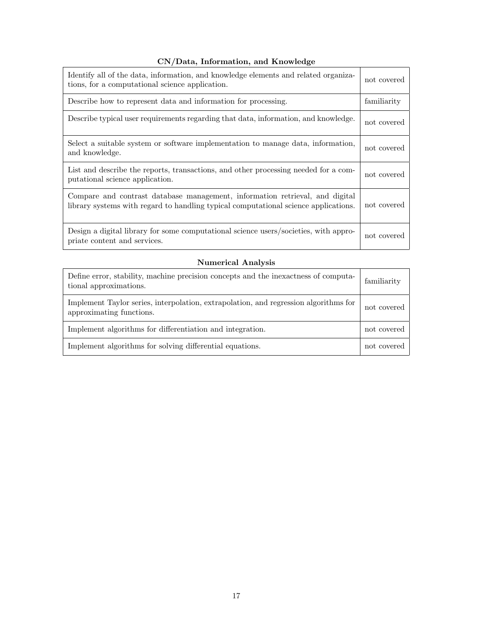#### CN/Data, Information, and Knowledge

| Identify all of the data, information, and knowledge elements and related organiza-<br>tions, for a computational science application.                              | not covered |
|---------------------------------------------------------------------------------------------------------------------------------------------------------------------|-------------|
| Describe how to represent data and information for processing.                                                                                                      | familiarity |
| Describe typical user requirements regarding that data, information, and knowledge.                                                                                 | not covered |
| Select a suitable system or software implementation to manage data, information,<br>and knowledge.                                                                  | not covered |
| List and describe the reports, transactions, and other processing needed for a com-<br>putational science application.                                              | not covered |
| Compare and contrast database management, information retrieval, and digital<br>library systems with regard to handling typical computational science applications. | not covered |
| Design a digital library for some computational science users/societies, with appro-<br>priate content and services.                                                | not covered |

#### Numerical Analysis

| Define error, stability, machine precision concepts and the inexactness of computa-<br>tional approximations.    | familiarity |
|------------------------------------------------------------------------------------------------------------------|-------------|
| Implement Taylor series, interpolation, extrapolation, and regression algorithms for<br>approximating functions. | not covered |
| Implement algorithms for differentiation and integration.                                                        | not covered |
| Implement algorithms for solving differential equations.                                                         | not covered |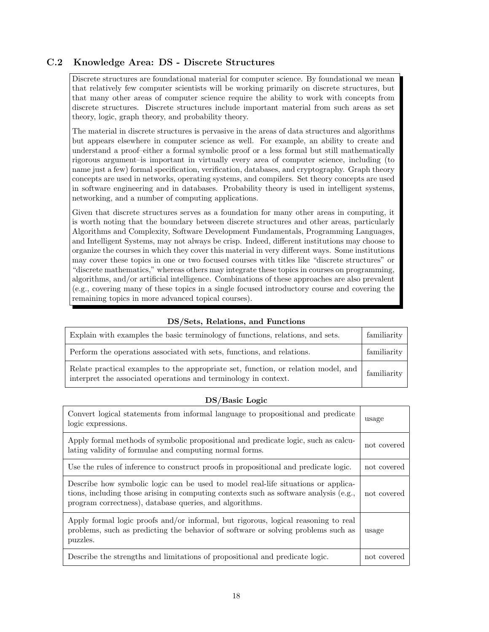#### C.2 Knowledge Area: DS - Discrete Structures

Discrete structures are foundational material for computer science. By foundational we mean that relatively few computer scientists will be working primarily on discrete structures, but that many other areas of computer science require the ability to work with concepts from discrete structures. Discrete structures include important material from such areas as set theory, logic, graph theory, and probability theory.

The material in discrete structures is pervasive in the areas of data structures and algorithms but appears elsewhere in computer science as well. For example, an ability to create and understand a proof–either a formal symbolic proof or a less formal but still mathematically rigorous argument–is important in virtually every area of computer science, including (to name just a few) formal specification, verification, databases, and cryptography. Graph theory concepts are used in networks, operating systems, and compilers. Set theory concepts are used in software engineering and in databases. Probability theory is used in intelligent systems, networking, and a number of computing applications.

Given that discrete structures serves as a foundation for many other areas in computing, it is worth noting that the boundary between discrete structures and other areas, particularly Algorithms and Complexity, Software Development Fundamentals, Programming Languages, and Intelligent Systems, may not always be crisp. Indeed, different institutions may choose to organize the courses in which they cover this material in very different ways. Some institutions may cover these topics in one or two focused courses with titles like "discrete structures" or "discrete mathematics," whereas others may integrate these topics in courses on programming, algorithms, and/or artificial intelligence. Combinations of these approaches are also prevalent (e.g., covering many of these topics in a single focused introductory course and covering the remaining topics in more advanced topical courses).

| Explain with examples the basic terminology of functions, relations, and sets.                                                                        | familiarity $\vert$ |
|-------------------------------------------------------------------------------------------------------------------------------------------------------|---------------------|
| Perform the operations associated with sets, functions, and relations.                                                                                | familiarity $\vert$ |
| Relate practical examples to the appropriate set, function, or relation model, and<br>interpret the associated operations and terminology in context. | familiarity         |

#### DS/Sets, Relations, and Functions

#### DS/Basic Logic

| Convert logical statements from informal language to propositional and predicate<br>logic expressions.                                                                                                                                | usage       |
|---------------------------------------------------------------------------------------------------------------------------------------------------------------------------------------------------------------------------------------|-------------|
| Apply formal methods of symbolic propositional and predicate logic, such as calcu-<br>lating validity of formulae and computing normal forms.                                                                                         | not covered |
| Use the rules of inference to construct proofs in propositional and predicate logic.                                                                                                                                                  | not covered |
| Describe how symbolic logic can be used to model real-life situations or applica-<br>tions, including those arising in computing contexts such as software analysis (e.g.,<br>program correctness), database queries, and algorithms. | not covered |
| Apply formal logic proofs and/or informal, but rigorous, logical reasoning to real<br>problems, such as predicting the behavior of software or solving problems such as<br>puzzles.                                                   | usage       |
| Describe the strengths and limitations of propositional and predicate logic.                                                                                                                                                          | not covered |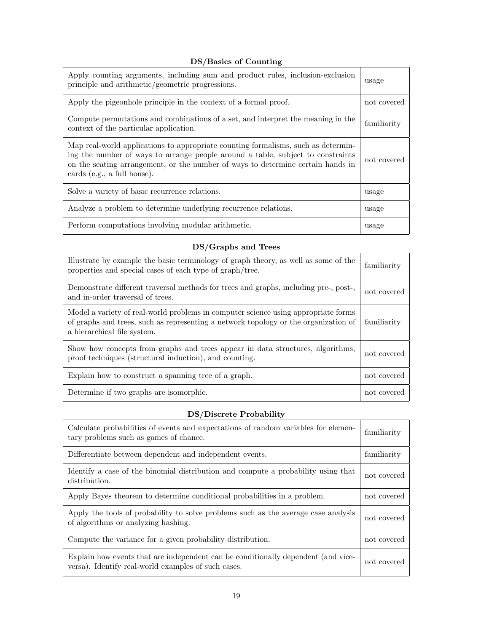#### DS/Basics of Counting

| Apply counting arguments, including sum and product rules, inclusion-exclusion<br>principle and arithmetic/geometric progressions.                                                                                                                                                     | usage       |
|----------------------------------------------------------------------------------------------------------------------------------------------------------------------------------------------------------------------------------------------------------------------------------------|-------------|
| Apply the pigeonhole principle in the context of a formal proof.                                                                                                                                                                                                                       | not covered |
| Compute permutations and combinations of a set, and interpret the meaning in the<br>context of the particular application.                                                                                                                                                             | familiarity |
| Map real-world applications to appropriate counting formalisms, such as determin-<br>ing the number of ways to arrange people around a table, subject to constraints<br>on the seating arrangement, or the number of ways to determine certain hands in<br>cards (e.g., a full house). | not covered |
| Solve a variety of basic recurrence relations.                                                                                                                                                                                                                                         | usage       |
| Analyze a problem to determine underlying recurrence relations.                                                                                                                                                                                                                        | usage       |
| Perform computations involving modular arithmetic.                                                                                                                                                                                                                                     | usage       |

#### DS/Graphs and Trees

| Illustrate by example the basic terminology of graph theory, as well as some of the<br>properties and special cases of each type of graph/tree.                                                          | familiarity |
|----------------------------------------------------------------------------------------------------------------------------------------------------------------------------------------------------------|-------------|
| Demonstrate different traversal methods for trees and graphs, including pre-, post-,<br>and in-order traversal of trees.                                                                                 | not covered |
| Model a variety of real-world problems in computer science using appropriate forms<br>of graphs and trees, such as representing a network topology or the organization of<br>a hierarchical file system. | familiarity |
| Show how concepts from graphs and trees appear in data structures, algorithms,<br>proof techniques (structural induction), and counting.                                                                 | not covered |
| Explain how to construct a spanning tree of a graph.                                                                                                                                                     | not covered |
| Determine if two graphs are isomorphic.                                                                                                                                                                  | not covered |

# DS/Discrete Probability

| Calculate probabilities of events and expectations of random variables for elemen-<br>tary problems such as games of chance.             | familiarity |
|------------------------------------------------------------------------------------------------------------------------------------------|-------------|
| Differentiate between dependent and independent events.                                                                                  | familiarity |
| Identify a case of the binomial distribution and compute a probability using that<br>distribution.                                       | not covered |
| Apply Bayes theorem to determine conditional probabilities in a problem.                                                                 | not covered |
| Apply the tools of probability to solve problems such as the average case analysis<br>of algorithms or analyzing hashing.                | not covered |
| Compute the variance for a given probability distribution.                                                                               | not covered |
| Explain how events that are independent can be conditionally dependent (and vice-<br>versa). Identify real-world examples of such cases. | not covered |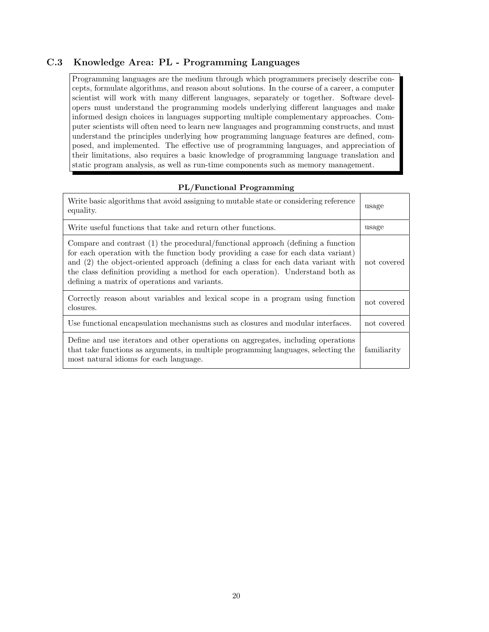#### C.3 Knowledge Area: PL - Programming Languages

Programming languages are the medium through which programmers precisely describe concepts, formulate algorithms, and reason about solutions. In the course of a career, a computer scientist will work with many different languages, separately or together. Software developers must understand the programming models underlying different languages and make informed design choices in languages supporting multiple complementary approaches. Computer scientists will often need to learn new languages and programming constructs, and must understand the principles underlying how programming language features are defined, composed, and implemented. The effective use of programming languages, and appreciation of their limitations, also requires a basic knowledge of programming language translation and static program analysis, as well as run-time components such as memory management.

#### PL/Functional Programming

| Write basic algorithms that avoid assigning to mutable state or considering reference<br>equality.                                                                                                                                                                                                                                                                                             | usage       |
|------------------------------------------------------------------------------------------------------------------------------------------------------------------------------------------------------------------------------------------------------------------------------------------------------------------------------------------------------------------------------------------------|-------------|
| Write useful functions that take and return other functions.                                                                                                                                                                                                                                                                                                                                   | usage       |
| Compare and contrast (1) the procedural/functional approach (defining a function<br>for each operation with the function body providing a case for each data variant)<br>and (2) the object-oriented approach (defining a class for each data variant with<br>the class definition providing a method for each operation). Understand both as<br>defining a matrix of operations and variants. | not covered |
| Correctly reason about variables and lexical scope in a program using function<br>closures.                                                                                                                                                                                                                                                                                                    | not covered |
| Use functional encapsulation mechanisms such as closures and modular interfaces.                                                                                                                                                                                                                                                                                                               | not covered |
| Define and use iterators and other operations on aggregates, including operations<br>that take functions as arguments, in multiple programming languages, selecting the<br>most natural idioms for each language.                                                                                                                                                                              | familiarity |